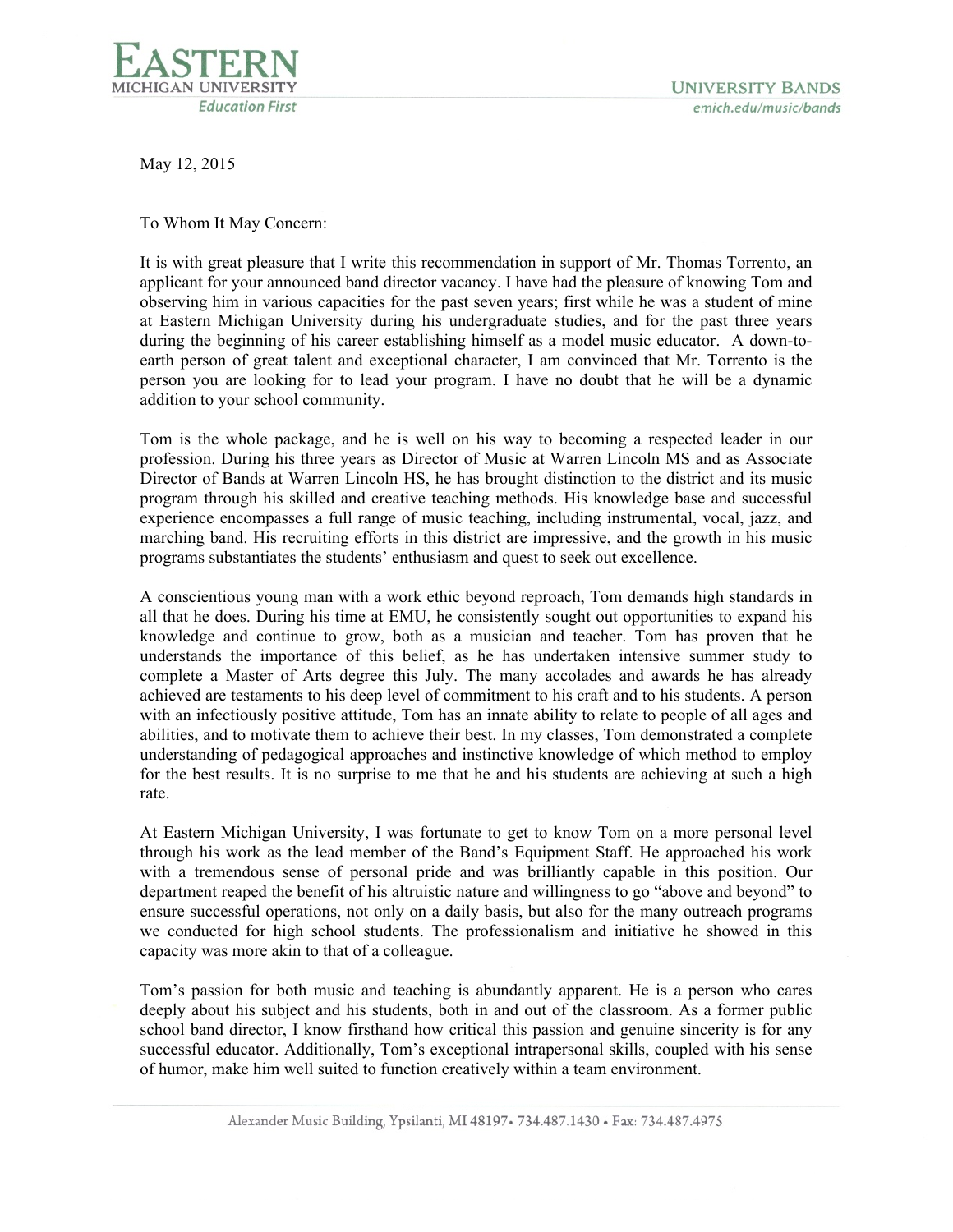

May 12, 2015

To Whom It May Concern:

It is with great pleasure that I write this recommendation in support of Mr. Thomas Torrento, an applicant for your announced band director vacancy. I have had the pleasure of knowing Tom and observing him in various capacities for the past seven years; first while he was a student of mine at Eastern Michigan University during his undergraduate studies, and for the past three years during the beginning of his career establishing himself as a model music educator. A down-toearth person of great talent and exceptional character, I am convinced that Mr. Torrento is the person you are looking for to lead your program. I have no doubt that he will be a dynamic addition to your school community.

Tom is the whole package, and he is well on his way to becoming a respected leader in our profession. During his three years as Director of Music at Warren Lincoln MS and as Associate Director of Bands at Warren Lincoln HS, he has brought distinction to the district and its music program through his skilled and creative teaching methods. His knowledge base and successful experience encompasses a full range of music teaching, including instrumental, vocal, jazz, and marching band. His recruiting efforts in this district are impressive, and the growth in his music programs substantiates the students' enthusiasm and quest to seek out excellence.

A conscientious young man with a work ethic beyond reproach, Tom demands high standards in all that he does. During his time at EMU, he consistently sought out opportunities to expand his knowledge and continue to grow, both as a musician and teacher. Tom has proven that he understands the importance of this belief, as he has undertaken intensive summer study to complete a Master of Arts degree this July. The many accolades and awards he has already achieved are testaments to his deep level of commitment to his craft and to his students. A person with an infectiously positive attitude, Tom has an innate ability to relate to people of all ages and abilities, and to motivate them to achieve their best. In my classes, Tom demonstrated a complete understanding of pedagogical approaches and instinctive knowledge of which method to employ for the best results. It is no surprise to me that he and his students are achieving at such a high rate.

At Eastern Michigan University, I was fortunate to get to know Tom on a more personal level through his work as the lead member of the Band's Equipment Staff. He approached his work with a tremendous sense of personal pride and was brilliantly capable in this position. Our department reaped the benefit of his altruistic nature and willingness to go "above and beyond" to ensure successful operations, not only on a daily basis, but also for the many outreach programs we conducted for high school students. The professionalism and initiative he showed in this capacity was more akin to that of a colleague.

Tom's passion for both music and teaching is abundantly apparent. He is a person who cares deeply about his subject and his students, both in and out of the classroom. As a former public school band director, I know firsthand how critical this passion and genuine sincerity is for any successful educator. Additionally, Tom's exceptional intrapersonal skills, coupled with his sense of humor, make him well suited to function creatively within a team environment.